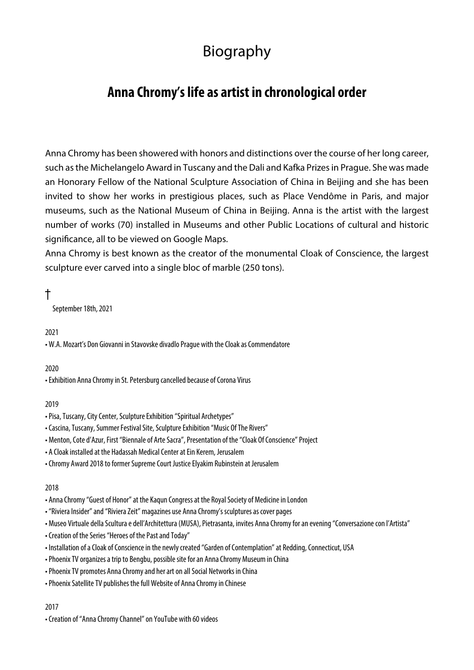# Biography

# **Anna Chromy's life as artist in chronological order**

Anna Chromy has been showered with honors and distinctions over the course of her long career, such as the Michelangelo Award in Tuscany and the Dali and Kafka Prizes in Prague. She was made an Honorary Fellow of the National Sculpture Association of China in Beijing and she has been invited to show her works in prestigious places, such as Place Vendôme in Paris, and major museums, such as the National Museum of China in Beijing. Anna is the artist with the largest number of works (70) installed in Museums and other Public Locations of cultural and historic significance, all to be viewed on Google Maps.

Anna Chromy is best known as the creator of the monumental Cloak of Conscience, the largest sculpture ever carved into a single bloc of marble (250 tons).

# $\ddagger$

September 18th, 2021

# 2021

• W.A. Mozart's Don Giovanni in Stavovske divadlo Prague with the Cloak as Commendatore

# 2020

• Exhibition Anna Chromy in St. Petersburg cancelled because of Corona Virus

# 2019

- Pisa, Tuscany, City Center, Sculpture Exhibition "Spiritual Archetypes"
- Cascina, Tuscany, Summer Festival Site, Sculpture Exhibition "Music Of The Rivers"
- Menton, Cote d'Azur, First "Biennale of Arte Sacra", Presentation of the "Cloak Of Conscience" Project
- A Cloak installed at the Hadassah Medical Center at Ein Kerem, Jerusalem
- Chromy Award 2018 to former Supreme Court Justice Elyakim Rubinstein at Jerusalem

# 2018

- Anna Chromy "Guest of Honor" at the Kaqun Congress at the Royal Society of Medicine in London
- "Riviera Insider" and "Riviera Zeit" magazines use Anna Chromy's sculptures as cover pages
- Museo Virtuale della Scultura e dell'Architettura (MUSA), Pietrasanta, invites Anna Chromy for an evening "Conversazione con l'Artista"
- Creation of the Series "Heroes of the Past and Today"
- Installation of a Cloak of Conscience in the newly created "Garden of Contemplation" at Redding, Connecticut, USA
- Phoenix TV organizes a trip to Bengbu, possible site for an Anna Chromy Museum in China
- Phoenix TV promotes Anna Chromy and her art on all Social Networks in China
- Phoenix Satellite TV publishes the full Website of Anna Chromy in Chinese

#### 2017

• Creation of "Anna Chromy Channel" on YouTube with 60 videos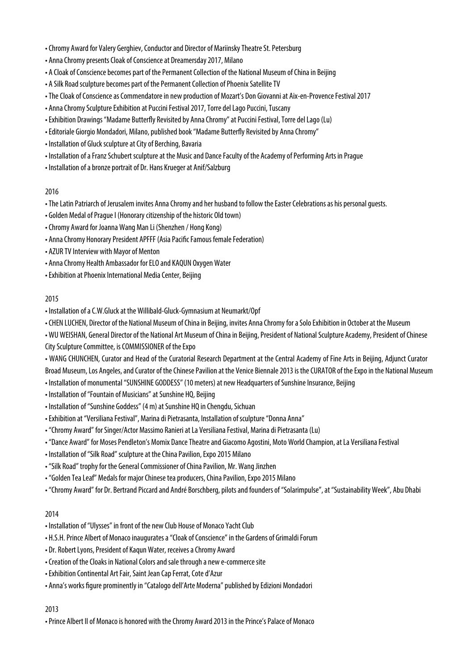- Chromy Award for Valery Gerghiev, Conductor and Director of Mariinsky Theatre St. Petersburg
- Anna Chromy presents Cloak of Conscience at Dreamersday 2017, Milano
- A Cloak of Conscience becomes part of the Permanent Collection of the National Museum of China in Beijing
- A Silk Road sculpture becomes part of the Permanent Collection of Phoenix Satellite TV
- The Cloak of Conscience as Commendatore in new production of Mozart's Don Giovanni at Aix-en-Provence Festival 2017
- Anna Chromy Sculpture Exhibition at Puccini Festival 2017, Torre del Lago Puccini, Tuscany
- Exhibition Drawings "Madame Butterfly Revisited by Anna Chromy" at Puccini Festival, Torre del Lago (Lu)
- Editoriale Giorgio Mondadori, Milano, published book "Madame Butterfly Revisited by Anna Chromy"
- Installation of Gluck sculpture at City of Berching, Bavaria
- Installation of a Franz Schubert sculpture at the Music and Dance Faculty of the Academy of Performing Arts in Prague
- Installation of a bronze portrait of Dr. Hans Krueger at Anif/Salzburg

- The Latin Patriarch of Jerusalem invites Anna Chromy and her husband to follow the Easter Celebrations as his personal guests.
- Golden Medal of Prague I (Honorary citizenship of the historic Old town)
- Chromy Award for Joanna Wang Man Li (Shenzhen / Hong Kong)
- Anna Chromy Honorary President APFFF (Asia Pacific Famous female Federation)
- AZUR TV Interview with Mayor of Menton
- Anna Chromy Health Ambassador for ELO and KAQUN Oxygen Water
- Exhibition at Phoenix International Media Center, Beijing

#### 2015

- Installation of a C.W.Gluck at the Willibald-Gluck-Gymnasium at Neumarkt/Opf
- CHEN LUCHEN, Director of the National Museum of China in Beijing, invites Anna Chromy for a Solo Exhibition in October at the Museum

• WU WEISHAN, General Director of the National Art Museum of China in Beijing, President of National Sculpture Academy, President of Chinese City Sculpture Committee, is COMMISSIONER of the Expo

• WANG CHUNCHEN, Curator and Head of the Curatorial Research Department at the Central Academy of Fine Arts in Beijing, Adjunct Curator Broad Museum, Los Angeles, and Curator of the Chinese Pavilion at the Venice Biennale 2013 is the CURATOR of the Expo in the National Museum

- Installation of monumental "SUNSHINE GODDESS" (10 meters) at new Headquarters of Sunshine Insurance, Beijing
- Installation of "Fountain of Musicians" at Sunshine HQ, Beijing
- Installation of "Sunshine Goddess" (4 m) at Sunshine HQ in Chengdu, Sichuan
- Exhibition at "Versiliana Festival", Marina di Pietrasanta, Installation of sculpture "Donna Anna"
- "Chromy Award" for Singer/Actor Massimo Ranieri at La Versiliana Festival, Marina di Pietrasanta (Lu)
- "Dance Award" for Moses Pendleton's Momix Dance Theatre and Giacomo Agostini, Moto World Champion, at La Versiliana Festival
- Installation of "Silk Road" sculpture at the China Pavilion, Expo 2015 Milano
- "Silk Road" trophy for the General Commissioner of China Pavilion, Mr. Wang Jinzhen
- "Golden Tea Leaf" Medals for major Chinese tea producers, China Pavilion, Expo 2015 Milano
- "Chromy Award" for Dr. Bertrand Piccard and André Borschberg, pilots and founders of "Solarimpulse", at "Sustainability Week", Abu Dhabi

# 2014

- Installation of "Ulysses" in front of the new Club House of Monaco Yacht Club
- H.S.H. Prince Albert of Monaco inaugurates a "Cloak of Conscience" in the Gardens of Grimaldi Forum
- Dr. Robert Lyons, President of Kaqun Water, receives a Chromy Award
- Creation of the Cloaks in National Colors and sale through a new e-commerce site
- Exhibition Continental Art Fair, Saint Jean Cap Ferrat, Cote d'Azur
- Anna's works figure prominently in "Catalogo dell'Arte Moderna" published by Edizioni Mondadori

#### 2013

• Prince Albert II of Monaco is honored with the Chromy Award 2013 in the Prince's Palace of Monaco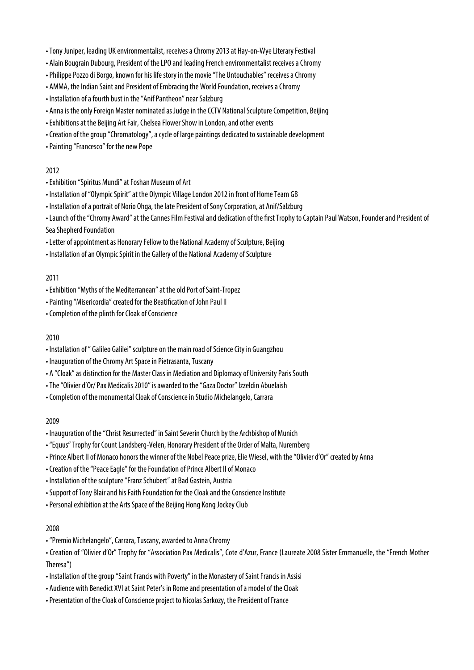- Tony Juniper, leading UK environmentalist, receives a Chromy 2013 at Hay-on-Wye Literary Festival
- Alain Bougrain Dubourg, President of the LPO and leading French environmentalist receives a Chromy
- Philippe Pozzo di Borgo, known for his life story in the movie "The Untouchables" receives a Chromy
- AMMA, the Indian Saint and President of Embracing the World Foundation, receives a Chromy
- Installation of a fourth bust in the "Anif Pantheon" near Salzburg
- Anna is the only Foreign Master nominated as Judge in the CCTV National Sculpture Competition, Beijing
- Exhibitions at the Beijing Art Fair, Chelsea Flower Show in London, and other events
- Creation of the group "Chromatology", a cycle of large paintings dedicated to sustainable development
- Painting "Francesco" for the new Pope

- Exhibition "Spiritus Mundi" at Foshan Museum of Art
- Installation of "Olympic Spirit" at the Olympic Village London 2012 in front of Home Team GB
- Installation of a portrait of Norio Ohga, the late President of Sony Corporation, at Anif/Salzburg

• Launch of the "Chromy Award" at the Cannes Film Festival and dedication of the first Trophy to Captain Paul Watson, Founder and President of Sea Shepherd Foundation

- Letter of appointment as Honorary Fellow to the National Academy of Sculpture, Beijing
- Installation of an Olympic Spirit in the Gallery of the National Academy of Sculpture

#### 2011

- Exhibition "Myths of the Mediterranean" at the old Port of Saint-Tropez
- Painting "Misericordia" created for the Beatification of John Paul II
- Completion of the plinth for Cloak of Conscience

#### 2010

- Installation of " Galileo Galilei" sculpture on the main road of Science City in Guangzhou
- Inauguration of the Chromy Art Space in Pietrasanta, Tuscany
- A "Cloak" as distinction for the Master Class in Mediation and Diplomacy of University Paris South
- The "Olivier d'Or/ Pax Medicalis 2010" is awarded to the "Gaza Doctor" Izzeldin Abuelaish
- Completion of the monumental Cloak of Conscience in Studio Michelangelo, Carrara

#### 2009

- Inauguration of the "Christ Resurrected" in Saint Severin Church by the Archbishop of Munich
- "Equus" Trophy for Count Landsberg-Velen, Honorary President of the Order of Malta, Nuremberg
- Prince Albert II of Monaco honors the winner of the Nobel Peace prize, Elie Wiesel, with the "Olivier d'Or" created by Anna
- Creation of the "Peace Eagle" for the Foundation of Prince Albert II of Monaco
- Installation of the sculpture "Franz Schubert" at Bad Gastein, Austria
- Support of Tony Blair and his Faith Foundation for the Cloak and the Conscience Institute
- Personal exhibition at the Arts Space of the Beijing Hong Kong Jockey Club

#### 2008

• "Premio Michelangelo", Carrara, Tuscany, awarded to Anna Chromy

• Creation of "Olivier d'Or" Trophy for "Association Pax Medicalis", Cote d'Azur, France (Laureate 2008 Sister Emmanuelle, the "French Mother Theresa")

- Installation of the group "Saint Francis with Poverty" in the Monastery of Saint Francis in Assisi
- Audience with Benedict XVI at Saint Peter's in Rome and presentation of a model of the Cloak
- Presentation of the Cloak of Conscience project to Nicolas Sarkozy, the President of France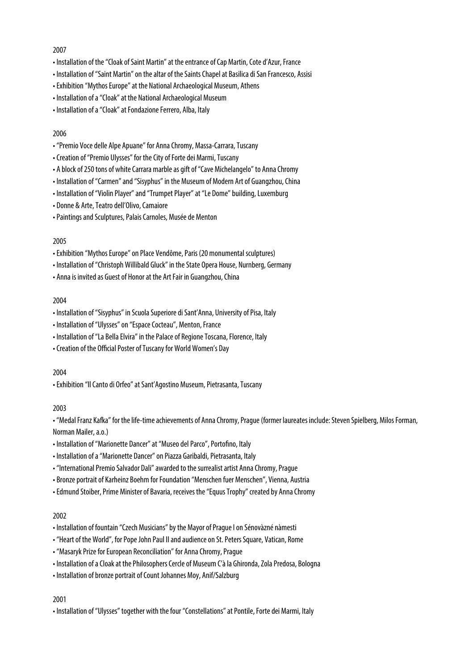- Installation of the "Cloak of Saint Martin" at the entrance of Cap Martin, Cote d'Azur, France
- Installation of "Saint Martin" on the altar of the Saints Chapel at Basilica di San Francesco, Assisi
- Exhibition "Mythos Europe" at the National Archaeological Museum, Athens
- Installation of a "Cloak" at the National Archaeological Museum
- Installation of a "Cloak" at Fondazione Ferrero, Alba, Italy

#### 2006

- "Premio Voce delle Alpe Apuane" for Anna Chromy, Massa-Carrara, Tuscany
- Creation of "Premio Ulysses" for the City of Forte dei Marmi, Tuscany
- A block of 250 tons of white Carrara marble as gift of "Cave Michelangelo" to Anna Chromy
- Installation of "Carmen" and "Sisyphus" in the Museum of Modern Art of Guangzhou, China
- Installation of "Violin Player" and "Trumpet Player" at "Le Dome" building, Luxemburg
- Donne & Arte, Teatro dell'Olivo, Camaiore
- Paintings and Sculptures, Palais Carnoles, Musée de Menton

#### 2005

- Exhibition "Mythos Europe" on Place Vendôme, Paris (20 monumental sculptures)
- Installation of "Christoph Willibald Gluck" in the State Opera House, Nurnberg, Germany
- Anna is invited as Guest of Honor at the Art Fair in Guangzhou, China

#### 2004

- Installation of "Sisyphus" in Scuola Superiore di Sant'Anna, University of Pisa, Italy
- Installation of "Ulysses" on "Espace Cocteau", Menton, France
- Installation of "La Bella Elvira" in the Palace of Regione Toscana, Florence, Italy
- Creation of the Official Poster of Tuscany for World Women's Day

#### 2004

• Exhibition "Il Canto di Orfeo" at Sant'Agostino Museum, Pietrasanta, Tuscany

#### 2003

• "Medal Franz Kafka" for the life-time achievements of Anna Chromy, Prague (former laureates include: Steven Spielberg, Milos Forman, Norman Mailer, a.o.)

- Installation of "Marionette Dancer" at "Museo del Parco", Portofino, Italy
- Installation of a "Marionette Dancer" on Piazza Garibaldi, Pietrasanta, Italy
- "International Premio Salvador Dali" awarded to the surrealist artist Anna Chromy, Prague
- Bronze portrait of Karheinz Boehm for Foundation "Menschen fuer Menschen", Vienna, Austria
- Edmund Stoiber, Prime Minister of Bavaria, receives the "Equus Trophy" created by Anna Chromy

#### 2002

- Installation of fountain "Czech Musicians" by the Mayor of Prague I on Sénovàzné nàmesti
- "Heart of the World", for Pope John Paul II and audience on St. Peters Square, Vatican, Rome
- "Masaryk Prize for European Reconciliation" for Anna Chromy, Prague
- Installation of a Cloak at the Philosophers Cercle of Museum C'à la Ghironda, Zola Predosa, Bologna
- Installation of bronze portrait of Count Johannes Moy, Anif/Salzburg

#### 2001

• Installation of "Ulysses" together with the four "Constellations" at Pontile, Forte dei Marmi, Italy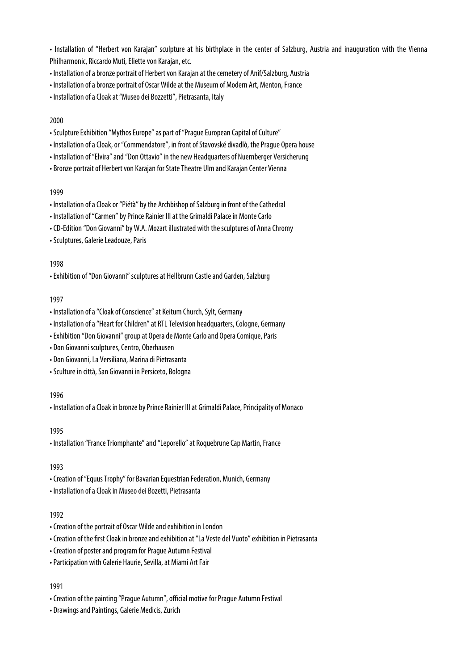• Installation of "Herbert von Karajan" sculpture at his birthplace in the center of Salzburg, Austria and inauguration with the Vienna Philharmonic, Riccardo Muti, Eliette von Karajan, etc.

- Installation of a bronze portrait of Herbert von Karajan at the cemetery of Anif/Salzburg, Austria
- Installation of a bronze portrait of Oscar Wilde at the Museum of Modern Art, Menton, France
- Installation of a Cloak at "Museo dei Bozzetti", Pietrasanta, Italy

## 2000

- Sculpture Exhibition "Mythos Europe" as part of "Prague European Capital of Culture"
- Installation of a Cloak, or "Commendatore", in front of Stavovské divadlò, the Prague Opera house
- Installation of "Elvira" and "Don Ottavio" in the new Headquarters of Nuernberger Versicherung
- Bronze portrait of Herbert von Karajan for State Theatre Ulm and Karajan Center Vienna

#### 1999

- Installation of a Cloak or "Piétà" by the Archbishop of Salzburg in front of the Cathedral
- Installation of "Carmen" by Prince Rainier III at the Grimaldi Palace in Monte Carlo
- CD-Edition "Don Giovanni" by W.A. Mozart illustrated with the sculptures of Anna Chromy
- Sculptures, Galerie Leadouze, Paris

## 1998

• Exhibition of "Don Giovanni" sculptures at Hellbrunn Castle and Garden, Salzburg

## 1997

- Installation of a "Cloak of Conscience" at Keitum Church, Sylt, Germany
- Installation of a "Heart for Children" at RTL Television headquarters, Cologne, Germany
- Exhibition "Don Giovanni" group at Opera de Monte Carlo and Opera Comique, Paris
- Don Giovanni sculptures, Centro, Oberhausen
- Don Giovanni, La Versiliana, Marina di Pietrasanta
- Sculture in città, San Giovanni in Persiceto, Bologna

#### 1996

• Installation of a Cloak in bronze by Prince Rainier III at Grimaldi Palace, Principality of Monaco

# 1995

• Installation "France Triomphante" and "Leporello" at Roquebrune Cap Martin, France

# 1993

- Creation of "Equus Trophy" for Bavarian Equestrian Federation, Munich, Germany
- Installation of a Cloak in Museo dei Bozetti, Pietrasanta

# 1992

- Creation of the portrait of Oscar Wilde and exhibition in London
- Creation of the first Cloak in bronze and exhibition at "La Veste del Vuoto" exhibition in Pietrasanta
- Creation of poster and program for Prague Autumn Festival
- Participation with Galerie Haurie, Sevilla, at Miami Art Fair

# 1991

- Creation of the painting "Prague Autumn", official motive for Prague Autumn Festival
- Drawings and Paintings, Galerie Medicis, Zurich